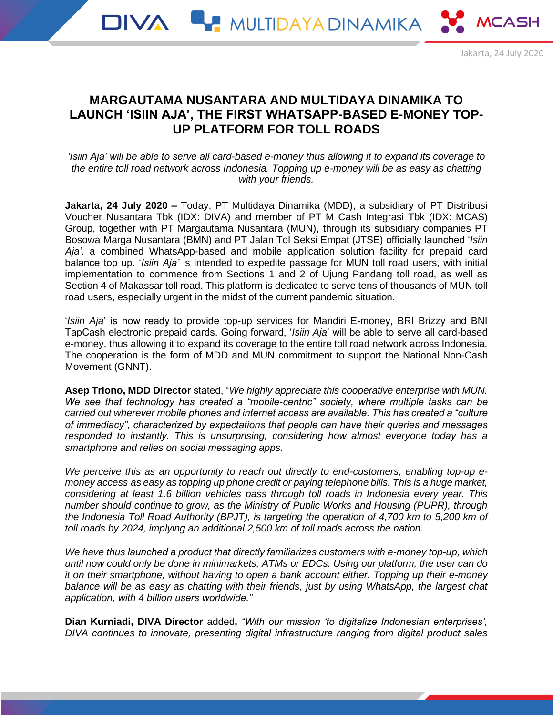# **MARGAUTAMA NUSANTARA AND MULTIDAYA DINAMIKA TO LAUNCH 'ISIIN AJA', THE FIRST WHATSAPP-BASED E-MONEY TOP-UP PLATFORM FOR TOLL ROADS**

*'Isiin Aja' will be able to serve all card-based e-money thus allowing it to expand its coverage to the entire toll road network across Indonesia. Topping up e-money will be as easy as chatting with your friends.*

**Jakarta, 24 July 2020 –** Today, PT Multidaya Dinamika (MDD), a subsidiary of PT Distribusi Voucher Nusantara Tbk (IDX: DIVA) and member of PT M Cash Integrasi Tbk (IDX: MCAS) Group, together with PT Margautama Nusantara (MUN), through its subsidiary companies PT Bosowa Marga Nusantara (BMN) and PT Jalan Tol Seksi Empat (JTSE) officially launched '*Isiin Aja',* a combined WhatsApp-based and mobile application solution facility for prepaid card balance top up. '*Isiin Aja'* is intended to expedite passage for MUN toll road users, with initial implementation to commence from Sections 1 and 2 of Ujung Pandang toll road, as well as Section 4 of Makassar toll road. This platform is dedicated to serve tens of thousands of MUN toll road users, especially urgent in the midst of the current pandemic situation.

'*Isiin Aja*' is now ready to provide top-up services for Mandiri E-money, BRI Brizzy and BNI TapCash electronic prepaid cards. Going forward, '*Isiin Aja*' will be able to serve all card-based e-money, thus allowing it to expand its coverage to the entire toll road network across Indonesia. The cooperation is the form of MDD and MUN commitment to support the National Non-Cash Movement (GNNT).

**Asep Triono, MDD Director** stated, "*We highly appreciate this cooperative enterprise with MUN. We see that technology has created a "mobile-centric" society, where multiple tasks can be carried out wherever mobile phones and internet access are available. This has created a "culture of immediacy", characterized by expectations that people can have their queries and messages responded to instantly. This is unsurprising, considering how almost everyone today has a smartphone and relies on social messaging apps.*

*We perceive this as an opportunity to reach out directly to end-customers, enabling top-up emoney access as easy as topping up phone credit or paying telephone bills. This is a huge market, considering at least 1.6 billion vehicles pass through toll roads in Indonesia every year. This number should continue to grow, as the Ministry of Public Works and Housing (PUPR), through the Indonesia Toll Road Authority (BPJT), is targeting the operation of 4,700 km to 5,200 km of toll roads by 2024, implying an additional 2,500 km of toll roads across the nation.*

*We have thus launched a product that directly familiarizes customers with e-money top-up, which until now could only be done in minimarkets, ATMs or EDCs. Using our platform, the user can do it on their smartphone, without having to open a bank account either. Topping up their e-money balance will be as easy as chatting with their friends, just by using WhatsApp, the largest chat application, with 4 billion users worldwide."*

**Dian Kurniadi, DIVA Director** added**,** *"With our mission 'to digitalize Indonesian enterprises', DIVA continues to innovate, presenting digital infrastructure ranging from digital product sales*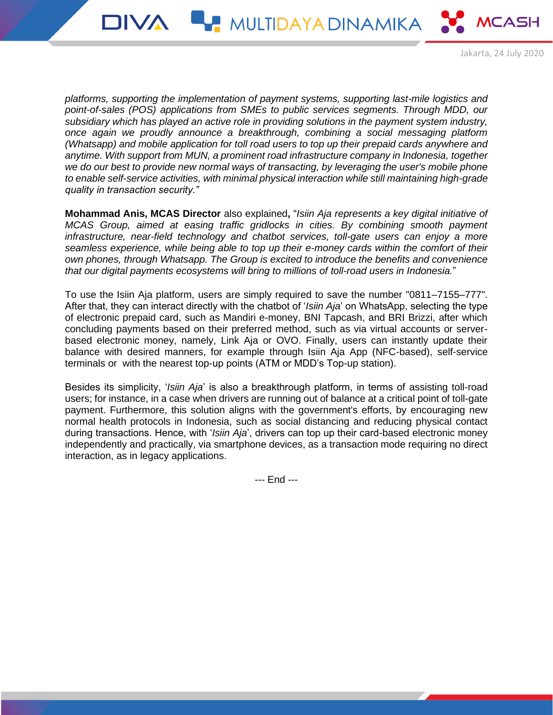

Jakarta, 24 July 2020

*platforms, supporting the implementation of payment systems, supporting last-mile logistics and point-of-sales (POS) applications from SMEs to public services segments. Through MDD, our subsidiary which has played an active role in providing solutions in the payment system industry, once again we proudly announce a breakthrough, combining a social messaging platform (Whatsapp) and mobile application for toll road users to top up their prepaid cards anywhere and anytime. With support from MUN, a prominent road infrastructure company in Indonesia, together we do our best to provide new normal ways of transacting, by leveraging the user's mobile phone to enable self-service activities, with minimal physical interaction while still maintaining high-grade quality in transaction security."*

**Mohammad Anis, MCAS Director** also explained**,** "*Isiin Aja represents a key digital initiative of MCAS Group, aimed at easing traffic gridlocks in cities. By combining smooth payment infrastructure, near-field technology and chatbot services, toll-gate users can enjoy a more seamless experience, while being able to top up their e-money cards within the comfort of their own phones, through Whatsapp. The Group is excited to introduce the benefits and convenience that our digital payments ecosystems will bring to millions of toll-road users in Indonesia.*"

To use the Isiin Aja platform, users are simply required to save the number "0811–7155–777". After that, they can interact directly with the chatbot of '*Isiin Aja*' on WhatsApp, selecting the type of electronic prepaid card, such as Mandiri e-money, BNI Tapcash, and BRI Brizzi, after which concluding payments based on their preferred method, such as via virtual accounts or serverbased electronic money, namely, Link Aja or OVO. Finally, users can instantly update their balance with desired manners, for example through Isiin Aja App (NFC-based), self-service terminals or with the nearest top-up points (ATM or MDD's Top-up station).

Besides its simplicity, '*Isiin Aja*' is also a breakthrough platform, in terms of assisting toll-road users; for instance, in a case when drivers are running out of balance at a critical point of toll-gate payment. Furthermore, this solution aligns with the government's efforts, by encouraging new normal health protocols in Indonesia, such as social distancing and reducing physical contact during transactions. Hence, with '*Isiin Aja*', drivers can top up their card-based electronic money independently and practically, via smartphone devices, as a transaction mode requiring no direct interaction, as in legacy applications.

--- End ---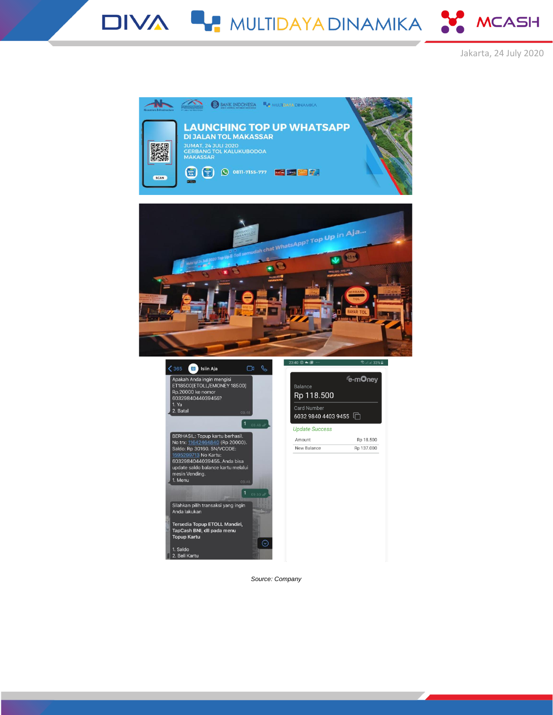DIVA LA MULTIDAYA DINAMIKA SA MCASH











*Source: Company*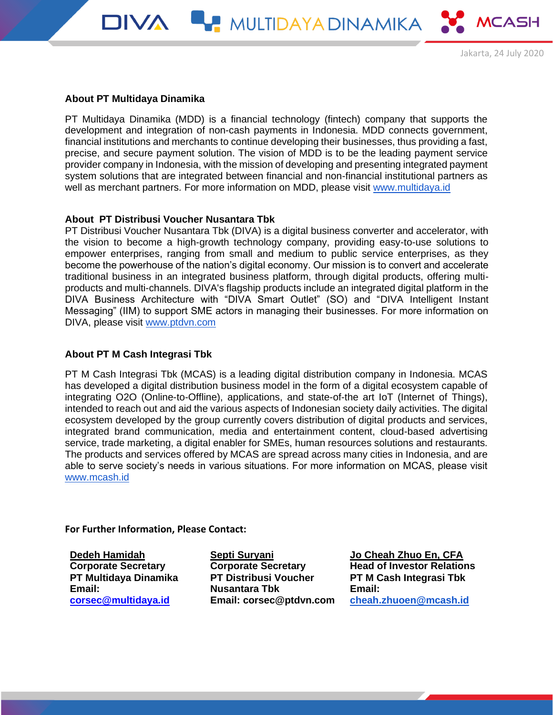

### **About PT Multidaya Dinamika**

PT Multidaya Dinamika (MDD) is a financial technology (fintech) company that supports the development and integration of non-cash payments in Indonesia. MDD connects government, financial institutions and merchants to continue developing their businesses, thus providing a fast, precise, and secure payment solution. The vision of MDD is to be the leading payment service provider company in Indonesia, with the mission of developing and presenting integrated payment system solutions that are integrated between financial and non-financial institutional partners as well as merchant partners. For more information on MDD, please visit [www.multidaya.id](http://multidaya.id/)

DIVA **WARRA MULTIDAYA DINAMIKA NG MCASH** 

### **About PT Distribusi Voucher Nusantara Tbk**

PT Distribusi Voucher Nusantara Tbk (DIVA) is a digital business converter and accelerator, with the vision to become a high-growth technology company, providing easy-to-use solutions to empower enterprises, ranging from small and medium to public service enterprises, as they become the powerhouse of the nation's digital economy. Our mission is to convert and accelerate traditional business in an integrated business platform, through digital products, offering multiproducts and multi-channels. DIVA's flagship products include an integrated digital platform in the DIVA Business Architecture with "DIVA Smart Outlet" (SO) and "DIVA Intelligent Instant Messaging" (IIM) to support SME actors in managing their businesses. For more information on DIVA, please visit [www.ptdvn.com](http://www.ptdvn.com/)

## **About PT M Cash Integrasi Tbk**

PT M Cash Integrasi Tbk (MCAS) is a leading digital distribution company in Indonesia. MCAS has developed a digital distribution business model in the form of a digital ecosystem capable of integrating O2O (Online-to-Offline), applications, and state-of-the art IoT (Internet of Things), intended to reach out and aid the various aspects of Indonesian society daily activities. The digital ecosystem developed by the group currently covers distribution of digital products and services, integrated brand communication, media and entertainment content, cloud-based advertising service, trade marketing, a digital enabler for SMEs, human resources solutions and restaurants. The products and services offered by MCAS are spread across many cities in Indonesia, and are able to serve society's needs in various situations. For more information on MCAS, please visit [www.mcash.id](http://www.mcash.id/)

**For Further Information, Please Contact:**

**Dedeh Hamidah Corporate Secretary PT Multidaya Dinamika Email: [corsec@multidaya.id](mailto:corsec@multidaya.id)**

**Septi Suryani Corporate Secretary PT Distribusi Voucher Nusantara Tbk Email: corsec@ptdvn.com** **Jo Cheah Zhuo En, CFA Head of Investor Relations PT M Cash Integrasi Tbk Email: [cheah.zhuoen@mcash.id](mailto:cheah.zhuoen@mcash.id)**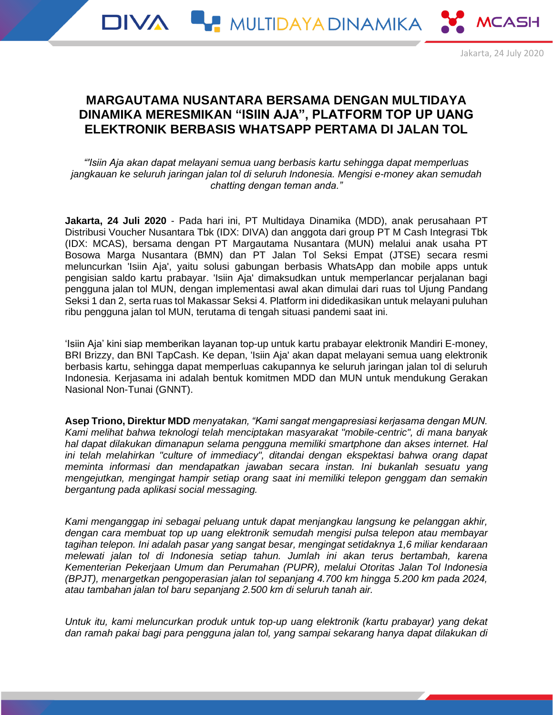# **MARGAUTAMA NUSANTARA BERSAMA DENGAN MULTIDAYA DINAMIKA MERESMIKAN "ISIIN AJA", PLATFORM TOP UP UANG ELEKTRONIK BERBASIS WHATSAPP PERTAMA DI JALAN TOL**

*"'Isiin Aja akan dapat melayani semua uang berbasis kartu sehingga dapat memperluas jangkauan ke seluruh jaringan jalan tol di seluruh Indonesia. Mengisi e-money akan semudah chatting dengan teman anda."*

**Jakarta, 24 Juli 2020** - Pada hari ini, PT Multidaya Dinamika (MDD), anak perusahaan PT Distribusi Voucher Nusantara Tbk (IDX: DIVA) dan anggota dari group PT M Cash Integrasi Tbk (IDX: MCAS), bersama dengan PT Margautama Nusantara (MUN) melalui anak usaha PT Bosowa Marga Nusantara (BMN) dan PT Jalan Tol Seksi Empat (JTSE) secara resmi meluncurkan 'Isiin Aja', yaitu solusi gabungan berbasis WhatsApp dan mobile apps untuk pengisian saldo kartu prabayar. 'Isiin Aja' dimaksudkan untuk memperlancar perjalanan bagi pengguna jalan tol MUN, dengan implementasi awal akan dimulai dari ruas tol Ujung Pandang Seksi 1 dan 2, serta ruas tol Makassar Seksi 4. Platform ini didedikasikan untuk melayani puluhan ribu pengguna jalan tol MUN, terutama di tengah situasi pandemi saat ini.

'Isiin Aja' kini siap memberikan layanan top-up untuk kartu prabayar elektronik Mandiri E-money, BRI Brizzy, dan BNI TapCash. Ke depan, 'Isiin Aja' akan dapat melayani semua uang elektronik berbasis kartu, sehingga dapat memperluas cakupannya ke seluruh jaringan jalan tol di seluruh Indonesia. Kerjasama ini adalah bentuk komitmen MDD dan MUN untuk mendukung Gerakan Nasional Non-Tunai (GNNT).

**Asep Triono, Direktur MDD** *menyatakan, "Kami sangat mengapresiasi kerjasama dengan MUN. Kami melihat bahwa teknologi telah menciptakan masyarakat "mobile-centric", di mana banyak hal dapat dilakukan dimanapun selama pengguna memiliki smartphone dan akses internet. Hal ini telah melahirkan "culture of immediacy", ditandai dengan ekspektasi bahwa orang dapat meminta informasi dan mendapatkan jawaban secara instan. Ini bukanlah sesuatu yang mengejutkan, mengingat hampir setiap orang saat ini memiliki telepon genggam dan semakin bergantung pada aplikasi social messaging.*

*Kami menganggap ini sebagai peluang untuk dapat menjangkau langsung ke pelanggan akhir, dengan cara membuat top up uang elektronik semudah mengisi pulsa telepon atau membayar tagihan telepon. Ini adalah pasar yang sangat besar, mengingat setidaknya 1,6 miliar kendaraan melewati jalan tol di Indonesia setiap tahun. Jumlah ini akan terus bertambah, karena Kementerian Pekerjaan Umum dan Perumahan (PUPR), melalui Otoritas Jalan Tol Indonesia (BPJT), menargetkan pengoperasian jalan tol sepanjang 4.700 km hingga 5.200 km pada 2024, atau tambahan jalan tol baru sepanjang 2.500 km di seluruh tanah air.*

*Untuk itu, kami meluncurkan produk untuk top-up uang elektronik (kartu prabayar) yang dekat dan ramah pakai bagi para pengguna jalan tol, yang sampai sekarang hanya dapat dilakukan di*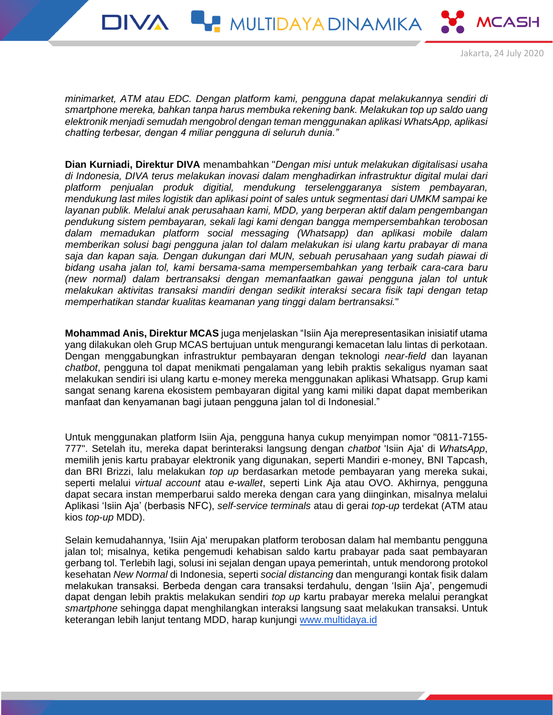*minimarket, ATM atau EDC. Dengan platform kami, pengguna dapat melakukannya sendiri di smartphone mereka, bahkan tanpa harus membuka rekening bank. Melakukan top up saldo uang elektronik menjadi semudah mengobrol dengan teman menggunakan aplikasi WhatsApp, aplikasi chatting terbesar, dengan 4 miliar pengguna di seluruh dunia."*

DIVA **WARDINAMIKA WASH** 

Jakarta, 24 July 2020

**Dian Kurniadi, Direktur DIVA** menambahkan "*Dengan misi untuk melakukan digitalisasi usaha di Indonesia, DIVA terus melakukan inovasi dalam menghadirkan infrastruktur digital mulai dari platform penjualan produk digitial, mendukung terselenggaranya sistem pembayaran, mendukung last miles logistik dan aplikasi point of sales untuk segmentasi dari UMKM sampai ke layanan publik. Melalui anak perusahaan kami, MDD, yang berperan aktif dalam pengembangan pendukung sistem pembayaran, sekali lagi kami dengan bangga mempersembahkan terobosan dalam memadukan platform social messaging (Whatsapp) dan aplikasi mobile dalam memberikan solusi bagi pengguna jalan tol dalam melakukan isi ulang kartu prabayar di mana saja dan kapan saja. Dengan dukungan dari MUN, sebuah perusahaan yang sudah piawai di bidang usaha jalan tol, kami bersama-sama mempersembahkan yang terbaik cara-cara baru (new normal) dalam bertransaksi dengan memanfaatkan gawai pengguna jalan tol untuk melakukan aktivitas transaksi mandiri dengan sedikit interaksi secara fisik tapi dengan tetap memperhatikan standar kualitas keamanan yang tinggi dalam bertransaksi.*"

**Mohammad Anis, Direktur MCAS** juga menjelaskan "Isiin Aja merepresentasikan inisiatif utama yang dilakukan oleh Grup MCAS bertujuan untuk mengurangi kemacetan lalu lintas di perkotaan. Dengan menggabungkan infrastruktur pembayaran dengan teknologi *near-field* dan layanan *chatbot*, pengguna tol dapat menikmati pengalaman yang lebih praktis sekaligus nyaman saat melakukan sendiri isi ulang kartu e-money mereka menggunakan aplikasi Whatsapp. Grup kami sangat senang karena ekosistem pembayaran digital yang kami miliki dapat dapat memberikan manfaat dan kenyamanan bagi jutaan pengguna jalan tol di Indonesial."

Untuk menggunakan platform Isiin Aja, pengguna hanya cukup menyimpan nomor "0811-7155- 777". Setelah itu, mereka dapat berinteraksi langsung dengan *chatbot* 'Isiin Aja' di *WhatsApp*, memilih jenis kartu prabayar elektronik yang digunakan, seperti Mandiri e-money, BNI Tapcash, dan BRI Brizzi, lalu melakukan *top up* berdasarkan metode pembayaran yang mereka sukai, seperti melalui *virtual account* atau *e-wallet*, seperti Link Aja atau OVO. Akhirnya, pengguna dapat secara instan memperbarui saldo mereka dengan cara yang diinginkan, misalnya melalui Aplikasi 'Isiin Aja' (berbasis NFC), *self-service terminals* atau di gerai *top-up* terdekat (ATM atau kios *top-up* MDD).

Selain kemudahannya, 'Isiin Aja' merupakan platform terobosan dalam hal membantu pengguna jalan tol; misalnya, ketika pengemudi kehabisan saldo kartu prabayar pada saat pembayaran gerbang tol. Terlebih lagi, solusi ini sejalan dengan upaya pemerintah, untuk mendorong protokol kesehatan *New Normal* di Indonesia, seperti *social distancing* dan mengurangi kontak fisik dalam melakukan transaksi. Berbeda dengan cara transaksi terdahulu, dengan 'Isiin Aja', pengemudi dapat dengan lebih praktis melakukan sendiri *top up* kartu prabayar mereka melalui perangkat *smartphone* sehingga dapat menghilangkan interaksi langsung saat melakukan transaksi. Untuk keterangan lebih lanjut tentang MDD, harap kunjungi [www.multidaya.id](http://multidaya.id/)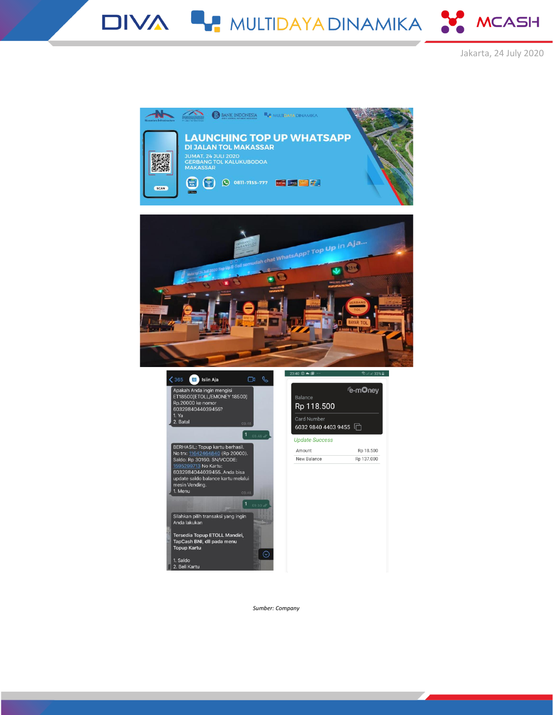DIVA & MULTIDAYA DINAMIKA X MCASH







**E-mOney** 

Rp 18.500

Rp 137.000



*Sumber: Company*